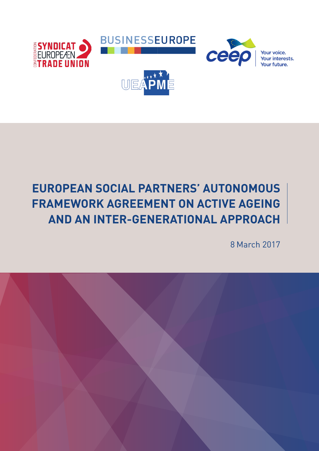

# **EUROPEAN SOCIAL PARTNERS' AUTONOMOUS FRAMEWORK AGREEMENT ON ACTIVE AGEING AND AN INTER-GENERATIONAL APPROACH**

8 March 2017

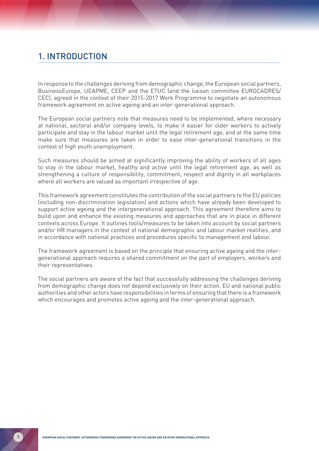## 1. INTRODUCTION

In response to the challenges deriving from demographic change, the European social partners, BusinessEurope, UEAPME, CEEP and the ETUC (and the liaison committee EUROCADRES/ CEC), agreed in the context of their 2015-2017 Work Programme to negotiate an autonomous framework agreement on active ageing and an inter-generational approach.

The European social partners note that measures need to be implemented, where necessary at national, sectoral and/or company levels, to make it easier for older workers to actively participate and stay in the labour market until the legal retirement age, and at the same time make sure that measures are taken in order to ease inter-generational transitions in the context of high youth unemployment.

Such measures should be aimed at significantly improving the ability of workers of all ages to stay in the labour market, healthy and active until the legal retirement age, as well as strengthening a culture of responsibility, commitment, respect and dignity in all workplaces where all workers are valued as important irrespective of age.

This framework agreement constitutes the contribution of the social partners to the EU policies (including non-discrimination legislation) and actions which have already been developed to support active ageing and the intergenerational approach. This agreement therefore aims to build upon and enhance the existing measures and approaches that are in place in different contexts across Europe. It outlines tools/measures to be taken into account by social partners and/or HR managers in the context of national demographic and labour market realities, and in accordance with national practices and procedures specific to management and labour.

The framework agreement is based on the principle that ensuring active ageing and the intergenerational approach requires a shared commitment on the part of employers, workers and their representatives.

The social partners are aware of the fact that successfully addressing the challenges deriving from demographic change does not depend exclusively on their action. EU and national public authorities and other actors have responsibilities in terms of ensuring that there is a framework which encourages and promotes active ageing and the inter-generational approach.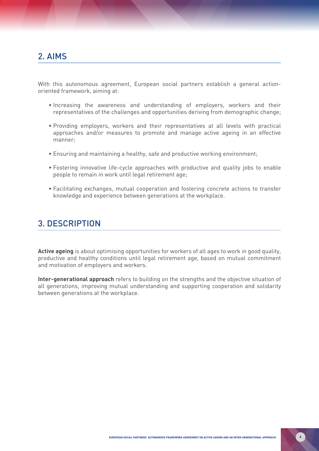## 2. AIMS

With this autonomous agreement, European social partners establish a general actionoriented framework, aiming at:

- Increasing the awareness and understanding of employers, workers and their representatives of the challenges and opportunities deriving from demographic change;
- Providing employers, workers and their representatives at all levels with practical approaches and/or measures to promote and manage active ageing in an effective manner;
- Ensuring and maintaining a healthy, safe and productive working environment;
- Fostering innovative life-cycle approaches with productive and quality jobs to enable people to remain in work until legal retirement age;
- Facilitating exchanges, mutual cooperation and fostering concrete actions to transfer knowledge and experience between generations at the workplace.

## 3. DESCRIPTION

**Active ageing** is about optimising opportunities for workers of all ages to work in good quality, productive and healthy conditions until legal retirement age, based on mutual commitment and motivation of employers and workers.

**Inter-generational approach** refers to building on the strengths and the objective situation of all generations, improving mutual understanding and supporting cooperation and solidarity between generations at the workplace.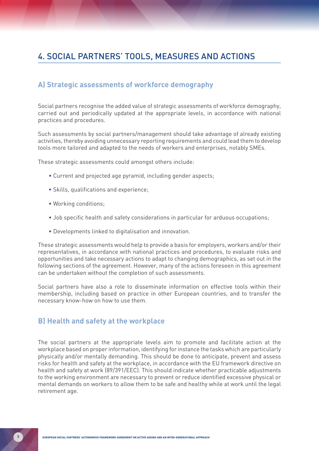## 4. SOCIAL PARTNERS' TOOLS, MEASURES AND ACTIONS

#### **A) Strategic assessments of workforce demography**

Social partners recognise the added value of strategic assessments of workforce demography, carried out and periodically updated at the appropriate levels, in accordance with national practices and procedures.

Such assessments by social partners/management should take advantage of already existing activities, thereby avoiding unnecessary reporting requirements and could lead them to develop tools more tailored and adapted to the needs of workers and enterprises, notably SMEs.

These strategic assessments could amongst others include:

- Current and projected age pyramid, including gender aspects;
- Skills, qualifications and experience;
- Working conditions;
- Job specific health and safety considerations in particular for arduous occupations;
- Developments linked to digitalisation and innovation.

These strategic assessments would help to provide a basis for employers, workers and/or their representatives, in accordance with national practices and procedures, to evaluate risks and opportunities and take necessary actions to adapt to changing demographics, as set out in the following sections of the agreement. However, many of the actions foreseen in this agreement can be undertaken without the completion of such assessments.

Social partners have also a role to disseminate information on effective tools within their membership, including based on practice in other European countries, and to transfer the necessary know-how on how to use them.

### **B) Health and safety at the workplace**

The social partners at the appropriate levels aim to promote and facilitate action at the workplace based on proper information, identifying for instance the tasks which are particularly physically and/or mentally demanding. This should be done to anticipate, prevent and assess risks for health and safety at the workplace, in accordance with the EU framework directive on health and safety at work (89/391/EEC). This should indicate whether practicable adjustments to the working environment are necessary to prevent or reduce identified excessive physical or mental demands on workers to allow them to be safe and healthy while at work until the legal retirement age.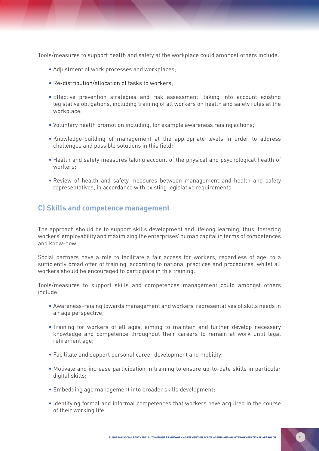Tools/measures to support health and safety at the workplace could amongst others include:

- Adjustment of work processes and workplaces;
- Re-distribution/allocation of tasks to workers;
- Effective prevention strategies and risk assessment, taking into account existing legislative obligations, including training of all workers on health and safety rules at the workplace;
- Voluntary health promotion including, for example awareness raising actions;
- Knowledge-building of management at the appropriate levels in order to address challenges and possible solutions in this field;
- Health and safety measures taking account of the physical and psychological health of workers;
- Review of health and safety measures between management and health and safety representatives, in accordance with existing legislative requirements.

#### **C) Skills and competence management**

The approach should be to support skills development and lifelong learning, thus, fostering workers' employability and maximizing the enterprises' human capital in terms of competences and know-how.

Social partners have a role to facilitate a fair access for workers, regardless of age, to a sufficiently broad offer of training, according to national practices and procedures, whilst all workers should be encouraged to participate in this training.

Tools/measures to support skills and competences management could amongst others include:

- Awareness-raising towards management and workers' representatives of skills needs in an age perspective;
- Training for workers of all ages, aiming to maintain and further develop necessary knowledge and competence throughout their careers to remain at work until legal retirement age;
- Facilitate and support personal career development and mobility;
- Motivate and increase participation in training to ensure up-to-date skills in particular digital skills;
- Embedding age management into broader skills development;
- Identifying formal and informal competences that workers have acquired in the course of their working life.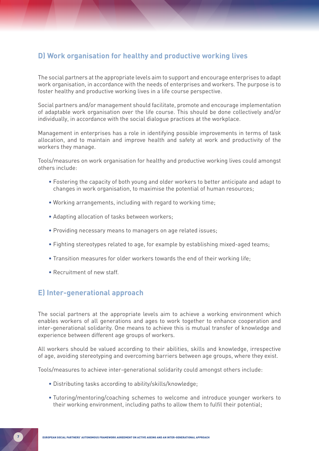### **D) Work organisation for healthy and productive working lives**

The social partners at the appropriate levels aim to support and encourage enterprises to adapt work organisation, in accordance with the needs of enterprises and workers. The purpose is to foster healthy and productive working lives in a life course perspective.

Social partners and/or management should facilitate, promote and encourage implementation of adaptable work organisation over the life course. This should be done collectively and/or individually, in accordance with the social dialogue practices at the workplace.

Management in enterprises has a role in identifying possible improvements in terms of task allocation, and to maintain and improve health and safety at work and productivity of the workers they manage.

Tools/measures on work organisation for healthy and productive working lives could amongst others include:

- Fostering the capacity of both young and older workers to better anticipate and adapt to changes in work organisation, to maximise the potential of human resources;
- Working arrangements, including with regard to working time;
- Adapting allocation of tasks between workers;
- Providing necessary means to managers on age related issues;
- Fighting stereotypes related to age, for example by establishing mixed-aged teams;
- Transition measures for older workers towards the end of their working life;
- Recruitment of new staff.

### **E) Inter-generational approach**

The social partners at the appropriate levels aim to achieve a working environment which enables workers of all generations and ages to work together to enhance cooperation and inter-generational solidarity. One means to achieve this is mutual transfer of knowledge and experience between different age groups of workers.

All workers should be valued according to their abilities, skills and knowledge, irrespective of age, avoiding stereotyping and overcoming barriers between age groups, where they exist.

Tools/measures to achieve inter-generational solidarity could amongst others include:

- Distributing tasks according to ability/skills/knowledge;
- Tutoring/mentoring/coaching schemes to welcome and introduce younger workers to their working environment, including paths to allow them to fulfil their potential;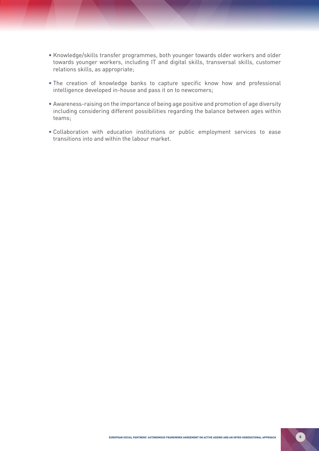- Knowledge/skills transfer programmes, both younger towards older workers and older towards younger workers, including IT and digital skills, transversal skills, customer relations skills, as appropriate;
- The creation of knowledge banks to capture specific know how and professional intelligence developed in-house and pass it on to newcomers;
- Awareness-raising on the importance of being age positive and promotion of age diversity including considering different possibilities regarding the balance between ages within teams;
- Collaboration with education institutions or public employment services to ease transitions into and within the labour market.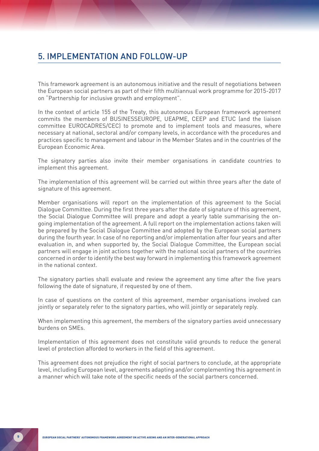## 5. IMPLEMENTATION AND FOLLOW-UP

This framework agreement is an autonomous initiative and the result of negotiations between the European social partners as part of their fifth multiannual work programme for 2015-2017 on "Partnership for inclusive growth and employment".

In the context of article 155 of the Treaty, this autonomous European framework agreement commits the members of BUSINESSEUROPE, UEAPME, CEEP and ETUC (and the liaison committee EUROCADRES/CEC) to promote and to implement tools and measures, where necessary at national, sectoral and/or company levels, in accordance with the procedures and practices specific to management and labour in the Member States and in the countries of the European Economic Area.

The signatory parties also invite their member organisations in candidate countries to implement this agreement.

The implementation of this agreement will be carried out within three years after the date of signature of this agreement.

Member organisations will report on the implementation of this agreement to the Social Dialogue Committee. During the first three years after the date of signature of this agreement, the Social Dialogue Committee will prepare and adopt a yearly table summarising the ongoing implementation of the agreement. A full report on the implementation actions taken will be prepared by the Social Dialogue Committee and adopted by the European social partners during the fourth year. In case of no reporting and/or implementation after four years and after evaluation in, and when supported by, the Social Dialogue Committee, the European social partners will engage in joint actions together with the national social partners of the countries concerned in order to identify the best way forward in implementing this framework agreement in the national context.

The signatory parties shall evaluate and review the agreement any time after the five years following the date of signature, if requested by one of them.

In case of questions on the content of this agreement, member organisations involved can jointly or separately refer to the signatory parties, who will jointly or separately reply.

When implementing this agreement, the members of the signatory parties avoid unnecessary burdens on SMEs.

Implementation of this agreement does not constitute valid grounds to reduce the general level of protection afforded to workers in the field of this agreement.

This agreement does not prejudice the right of social partners to conclude, at the appropriate level, including European level, agreements adapting and/or complementing this agreement in a manner which will take note of the specific needs of the social partners concerned.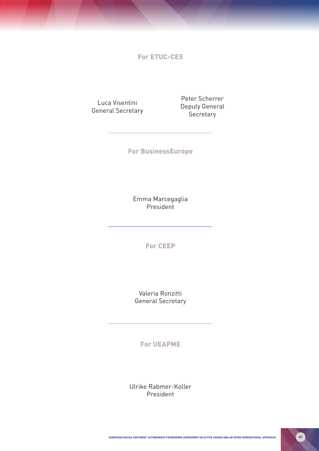For ETUC-CES

Luca Visentini General Secretary

Peter Scherrer Deputy General **Secretary** 

For BusinessEurope

Emma Marcegaglia President

For CEEP

Valeria Ronzitti General Secretary

For UEAPME

Ulrike Rabmer-Koller President